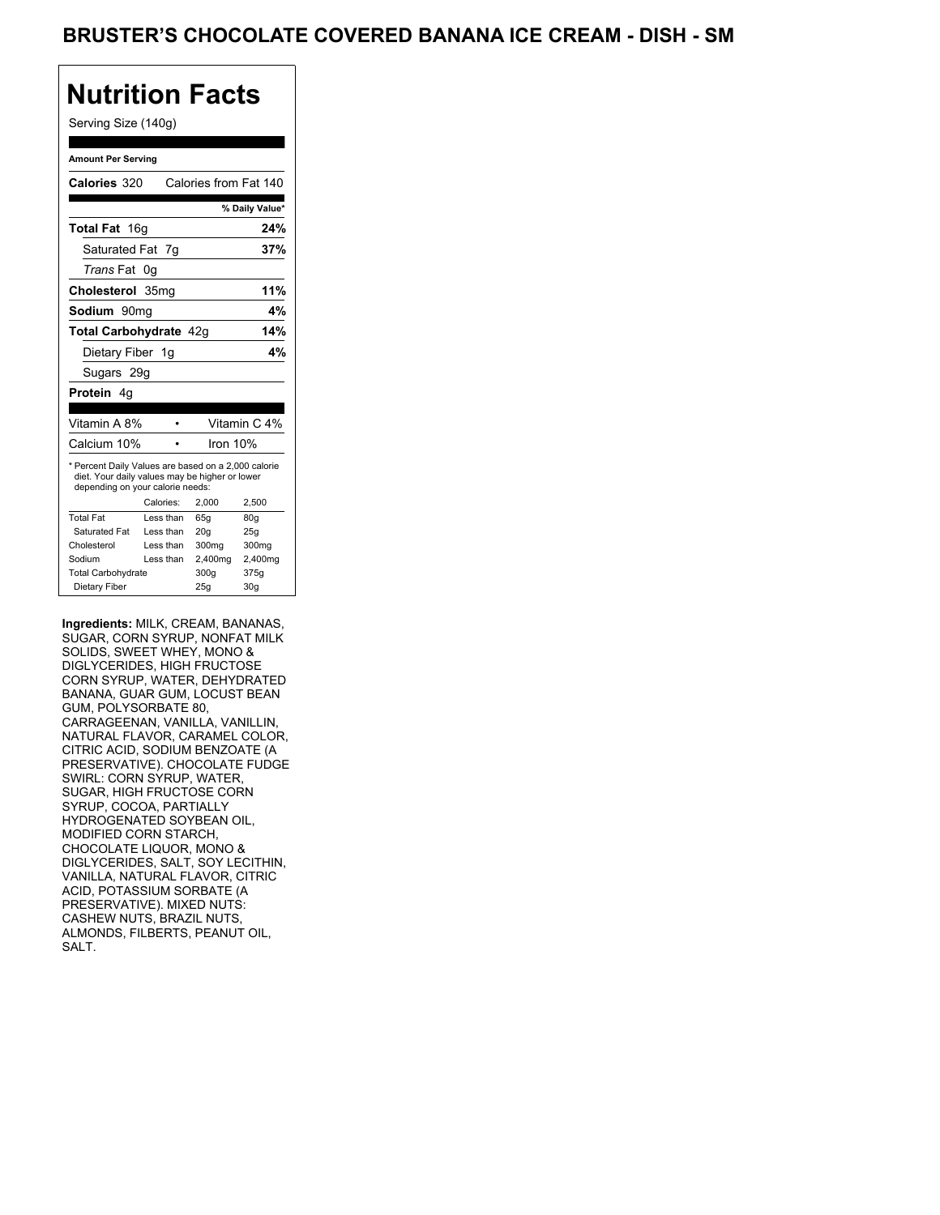### Serving Size (140g)

| <b>Amount Per Serving</b>                                                                                                                 |           |                       |                |  |  |  |
|-------------------------------------------------------------------------------------------------------------------------------------------|-----------|-----------------------|----------------|--|--|--|
| Calories 320                                                                                                                              |           | Calories from Fat 140 |                |  |  |  |
|                                                                                                                                           |           |                       | % Daily Value* |  |  |  |
| Total Fat 16g                                                                                                                             |           |                       | 24%            |  |  |  |
| Saturated Fat 7q                                                                                                                          |           |                       | 37%            |  |  |  |
| Trans Fat 0q                                                                                                                              |           |                       |                |  |  |  |
| Cholesterol 35mg                                                                                                                          |           |                       | 11%            |  |  |  |
| Sodium 90mg                                                                                                                               |           |                       | 4%             |  |  |  |
| Total Carbohydrate 42g                                                                                                                    |           |                       | 14%            |  |  |  |
| Dietary Fiber 1g                                                                                                                          |           |                       | 4%             |  |  |  |
| Sugars 29g                                                                                                                                |           |                       |                |  |  |  |
| Protein 4q                                                                                                                                |           |                       |                |  |  |  |
|                                                                                                                                           |           |                       |                |  |  |  |
| Vitamin A 8%                                                                                                                              |           |                       | Vitamin C 4%   |  |  |  |
| Calcium 10%                                                                                                                               |           |                       | Iron $10%$     |  |  |  |
| * Percent Daily Values are based on a 2,000 calorie<br>diet. Your daily values may be higher or lower<br>depending on your calorie needs: |           |                       |                |  |  |  |
|                                                                                                                                           | Calories: | 2,000                 | 2,500          |  |  |  |
| <b>Total Fat</b>                                                                                                                          | Less than | 65q                   | 80q            |  |  |  |
| Saturated Fat                                                                                                                             | Less than | 20 <sub>g</sub>       | 25g            |  |  |  |
| Cholesterol                                                                                                                               | Less than | 300 <sub>mq</sub>     | 300mg          |  |  |  |
| Sodium                                                                                                                                    | Less than | 2,400mg               | 2,400mg        |  |  |  |
| <b>Total Carbohydrate</b>                                                                                                                 |           | 300q                  | 375g           |  |  |  |
| Dietary Fiber                                                                                                                             |           | 25q                   | 30q            |  |  |  |

**Ingredients:** MILK, CREAM, BANANAS, SUGAR, CORN SYRUP, NONFAT MILK SOLIDS, SWEET WHEY, MONO & DIGLYCERIDES, HIGH FRUCTOSE CORN SYRUP, WATER, DEHYDRATED BANANA, GUAR GUM, LOCUST BEAN GUM, POLYSORBATE 80, CARRAGEENAN, VANILLA, VANILLIN, NATURAL FLAVOR, CARAMEL COLOR, CITRIC ACID, SODIUM BENZOATE (A PRESERVATIVE). CHOCOLATE FUDGE SWIRL: CORN SYRUP, WATER, SUGAR, HIGH FRUCTOSE CORN SYRUP, COCOA, PARTIALLY HYDROGENATED SOYBEAN OIL, MODIFIED CORN STARCH, CHOCOLATE LIQUOR, MONO & DIGLYCERIDES, SALT, SOY LECITHIN, VANILLA, NATURAL FLAVOR, CITRIC ACID, POTASSIUM SORBATE (A PRESERVATIVE). MIXED NUTS: CASHEW NUTS, BRAZIL NUTS, ALMONDS, FILBERTS, PEANUT OIL, SALT.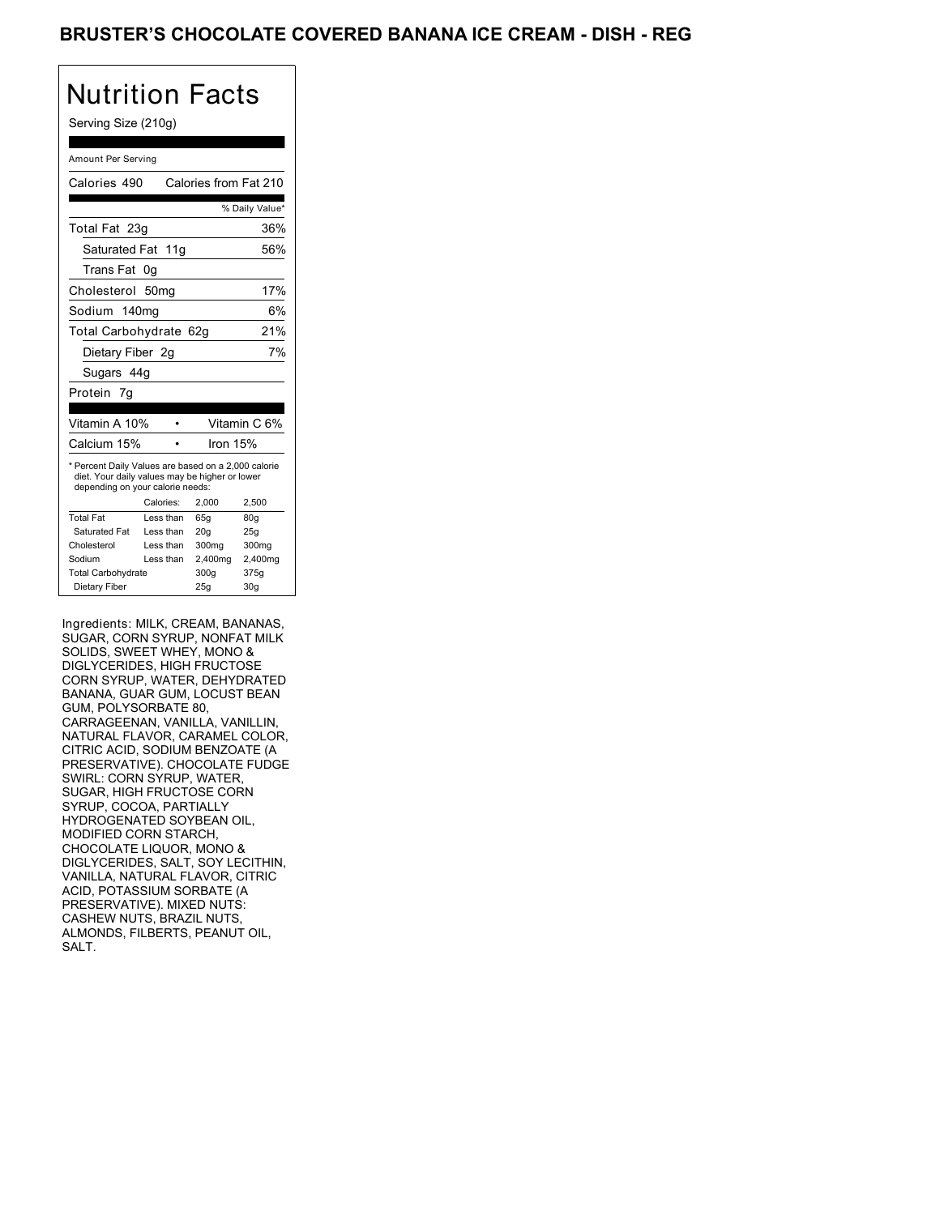### BRUSTER'S CHOCOLATE COVERED BANANA ICE CREAM - DISH - REG

## Nutrition Facts

### Serving Size (210g)

| Amount Per Serving                                                                                                                        |                  |           |                       |                 |  |
|-------------------------------------------------------------------------------------------------------------------------------------------|------------------|-----------|-----------------------|-----------------|--|
| Calories 490                                                                                                                              |                  |           | Calories from Fat 210 |                 |  |
|                                                                                                                                           |                  |           |                       | % Daily Value*  |  |
| Total Fat 23g                                                                                                                             |                  |           |                       | 36%             |  |
| Saturated Fat 11g                                                                                                                         |                  |           |                       | 56%             |  |
| Trans Fat                                                                                                                                 | 0g               |           |                       |                 |  |
| Cholesterol                                                                                                                               | 50 <sub>mq</sub> |           |                       | 17%             |  |
| Sodium 140mg                                                                                                                              |                  |           |                       | 6%              |  |
| Total Carbohydrate 62g                                                                                                                    |                  |           |                       | 21%             |  |
| Dietary Fiber 2q                                                                                                                          |                  |           |                       | 7%              |  |
| Sugars 44g                                                                                                                                |                  |           |                       |                 |  |
| Protein 7q                                                                                                                                |                  |           |                       |                 |  |
|                                                                                                                                           |                  |           |                       |                 |  |
| Vitamin A 10%                                                                                                                             |                  |           |                       | Vitamin C 6%    |  |
| Calcium 15%                                                                                                                               |                  |           | Iron $15%$            |                 |  |
| * Percent Daily Values are based on a 2,000 calorie<br>diet. Your daily values may be higher or lower<br>depending on your calorie needs: |                  |           |                       |                 |  |
|                                                                                                                                           | Calories:        |           | 2.000                 | 2,500           |  |
| <b>Total Fat</b>                                                                                                                          |                  | Less than | 65q                   | 80q             |  |
| Saturated Fat                                                                                                                             |                  | Less than | 20q                   | 25g             |  |
| Cholesterol                                                                                                                               |                  | Less than | 300mg                 | 300mg           |  |
| Sodium                                                                                                                                    |                  | Less than | 2,400mg               | 2,400mg         |  |
| <b>Total Carbohydrate</b>                                                                                                                 |                  |           | 300a                  | 375g            |  |
| Dietary Fiber                                                                                                                             |                  |           | 25g                   | 30 <sub>g</sub> |  |

Ingredients: MILK, CREAM, BANANAS, SUGAR, CORN SYRUP, NONFAT MILK SOLIDS, SWEET WHEY, MONO & DIGLYCERIDES, HIGH FRUCTOSE CORN SYRUP, WATER, DEHYDRATED BANANA, GUAR GUM, LOCUST BEAN GUM, POLYSORBATE 80, CARRAGEENAN, VANILLA, VANILLIN, NATURAL FLAVOR, CARAMEL COLOR, CITRIC ACID, SODIUM BENZOATE (A PRESERVATIVE). CHOCOLATE FUDGE SWIRL: CORN SYRUP, WATER, SUGAR, HIGH FRUCTOSE CORN SYRUP, COCOA, PARTIALLY HYDROGENATED SOYBEAN OIL, MODIFIED CORN STARCH, CHOCOLATE LIQUOR, MONO & DIGLYCERIDES, SALT, SOY LECITHIN, VANILLA, NATURAL FLAVOR, CITRIC ACID, POTASSIUM SORBATE (A PRESERVATIVE). MIXED NUTS: CASHEW NUTS, BRAZIL NUTS, ALMONDS, FILBERTS, PEANUT OIL, SALT.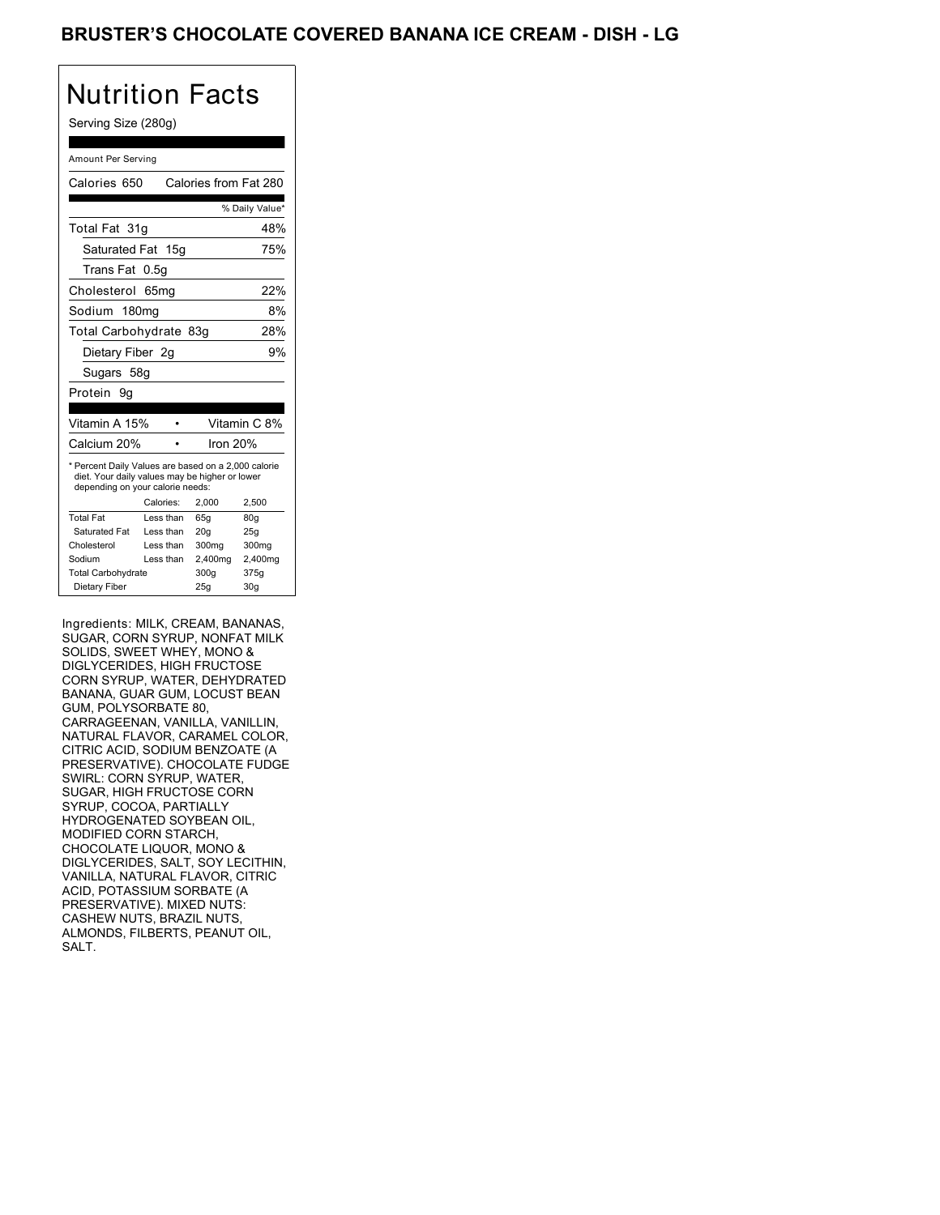### BRUSTER'S CHOCOLATE COVERED BANANA ICE CREAM - DISH - LG

# Nutrition Facts

### Serving Size (280g)

| Amount Per Serving                                                                                                                        |           |                       |                 |  |  |
|-------------------------------------------------------------------------------------------------------------------------------------------|-----------|-----------------------|-----------------|--|--|
| Calories 650                                                                                                                              |           | Calories from Fat 280 |                 |  |  |
|                                                                                                                                           |           |                       | % Daily Value*  |  |  |
| Total Fat 31q                                                                                                                             |           |                       | 48%             |  |  |
| Saturated Fat 15g                                                                                                                         |           |                       | 75%             |  |  |
| Trans Fat                                                                                                                                 | 0.5g      |                       |                 |  |  |
| Cholesterol                                                                                                                               | 65mg      |                       | 22%             |  |  |
| Sodium 180mg                                                                                                                              |           |                       | 8%              |  |  |
| Total Carbohydrate 83g                                                                                                                    |           |                       | 28%             |  |  |
| Dietary Fiber 2g                                                                                                                          |           |                       | 9%              |  |  |
| Sugars 58g                                                                                                                                |           |                       |                 |  |  |
| Protein<br>9g                                                                                                                             |           |                       |                 |  |  |
|                                                                                                                                           |           |                       |                 |  |  |
| Vitamin A 15%                                                                                                                             |           |                       | Vitamin C 8%    |  |  |
| Calcium 20%                                                                                                                               |           |                       | Iron 20%        |  |  |
| * Percent Daily Values are based on a 2,000 calorie<br>diet. Your daily values may be higher or lower<br>depending on your calorie needs: |           |                       |                 |  |  |
|                                                                                                                                           | Calories: | 2,000                 | 2,500           |  |  |
| <b>Total Fat</b>                                                                                                                          | Less than | 65q                   | 80q             |  |  |
| Saturated Fat                                                                                                                             | Less than | 20q                   | 25g             |  |  |
| Cholesterol                                                                                                                               | Less than | 300mg                 | 300mg           |  |  |
| Sodium                                                                                                                                    | Less than | 2,400mg               | 2,400mg         |  |  |
| <b>Total Carbohydrate</b>                                                                                                                 |           | 300a                  | 375a            |  |  |
| Dietary Fiber                                                                                                                             |           | 25g                   | 30 <sub>g</sub> |  |  |

Ingredients: MILK, CREAM, BANANAS, SUGAR, CORN SYRUP, NONFAT MILK SOLIDS, SWEET WHEY, MONO & DIGLYCERIDES, HIGH FRUCTOSE CORN SYRUP, WATER, DEHYDRATED BANANA, GUAR GUM, LOCUST BEAN GUM, POLYSORBATE 80, CARRAGEENAN, VANILLA, VANILLIN, NATURAL FLAVOR, CARAMEL COLOR, CITRIC ACID, SODIUM BENZOATE (A PRESERVATIVE). CHOCOLATE FUDGE SWIRL: CORN SYRUP, WATER, SUGAR, HIGH FRUCTOSE CORN SYRUP, COCOA, PARTIALLY HYDROGENATED SOYBEAN OIL, MODIFIED CORN STARCH, CHOCOLATE LIQUOR, MONO & DIGLYCERIDES, SALT, SOY LECITHIN, VANILLA, NATURAL FLAVOR, CITRIC ACID, POTASSIUM SORBATE (A PRESERVATIVE). MIXED NUTS: CASHEW NUTS, BRAZIL NUTS, ALMONDS, FILBERTS, PEANUT OIL, SALT.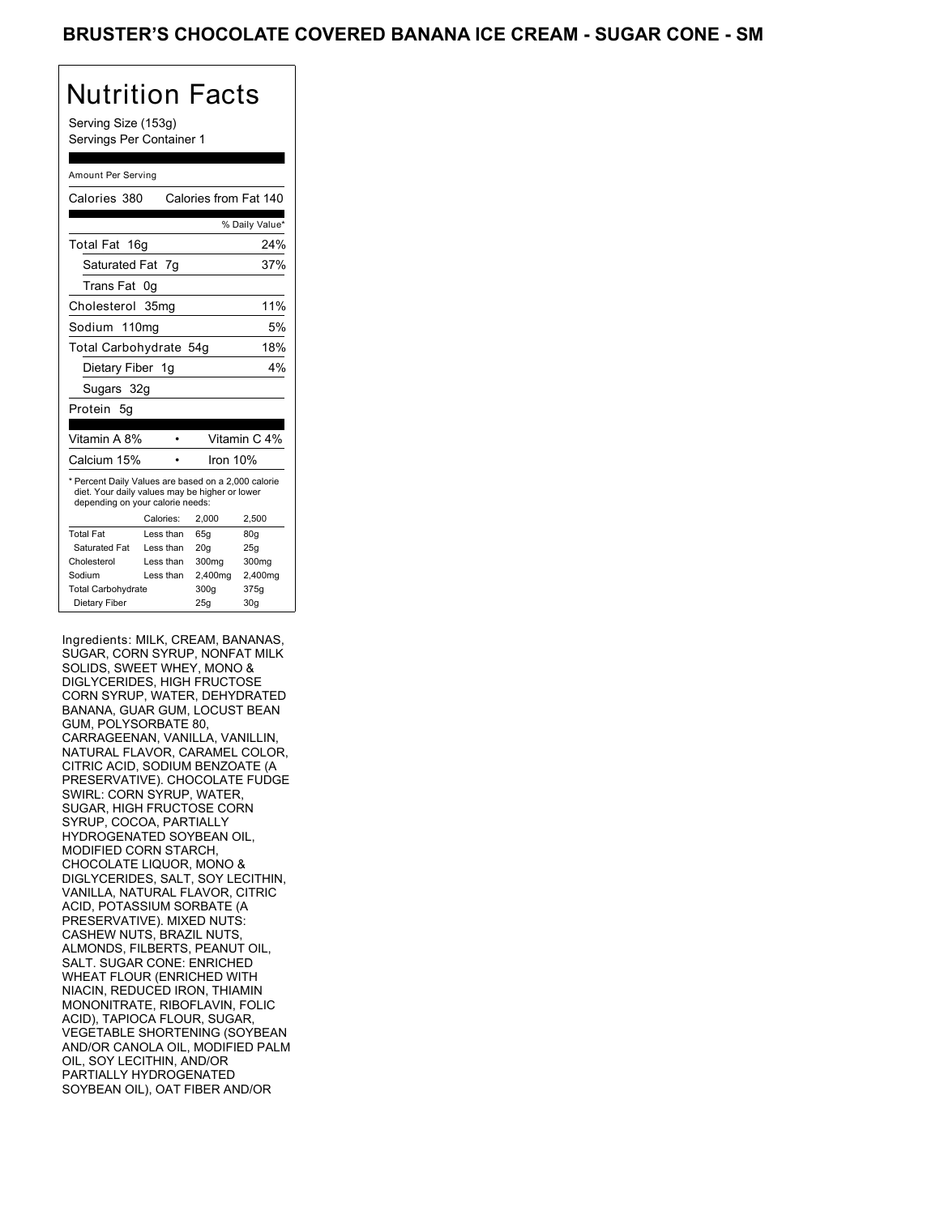Serving Size (153g) Servings Per Container 1

#### Amount Per Serving

| Calories 380                                                                                                                              |           | Calories from Fat 140 |                 |
|-------------------------------------------------------------------------------------------------------------------------------------------|-----------|-----------------------|-----------------|
|                                                                                                                                           |           |                       | % Daily Value*  |
| Total Fat 16g                                                                                                                             |           |                       | 24%             |
| Saturated Fat 7g                                                                                                                          |           |                       | 37%             |
| Trans Fat                                                                                                                                 | 0g        |                       |                 |
| Cholesterol 35mg                                                                                                                          |           |                       | 11%             |
| Sodium 110mg                                                                                                                              |           |                       | 5%              |
| Total Carbohydrate 54g                                                                                                                    |           |                       | 18%             |
| Dietary Fiber 1g                                                                                                                          |           |                       | 4%              |
| Sugars 32g                                                                                                                                |           |                       |                 |
| Protein 5q                                                                                                                                |           |                       |                 |
|                                                                                                                                           |           |                       |                 |
| Vitamin A 8%                                                                                                                              |           |                       | Vitamin C 4%    |
| Calcium 15%                                                                                                                               |           | Iron $10%$            |                 |
| * Percent Daily Values are based on a 2,000 calorie<br>diet. Your daily values may be higher or lower<br>depending on your calorie needs: |           |                       |                 |
|                                                                                                                                           | Calories: | 2.000                 | 2.500           |
| <b>Total Fat</b>                                                                                                                          | Less than | 65q                   | 80q             |
| Saturated Fat                                                                                                                             | Less than | 20q                   | 25q             |
| Cholesterol                                                                                                                               | Less than | 300mg                 | 300mg           |
| Sodium                                                                                                                                    | Less than | 2,400mg               | 2,400mg         |
| <b>Total Carbohydrate</b>                                                                                                                 |           | 300g                  | 375g            |
| Dietary Fiber                                                                                                                             |           | 25q                   | 30 <sub>g</sub> |

Ingredients: MILK, CREAM, BANANAS, SUGAR, CORN SYRUP, NONFAT MILK SOLIDS, SWEET WHEY, MONO & DIGLYCERIDES, HIGH FRUCTOSE CORN SYRUP, WATER, DEHYDRATED BANANA, GUAR GUM, LOCUST BEAN GUM, POLYSORBATE 80, CARRAGEENAN, VANILLA, VANILLIN, NATURAL FLAVOR, CARAMEL COLOR, CITRIC ACID, SODIUM BENZOATE (A PRESERVATIVE). CHOCOLATE FUDGE SWIRL: CORN SYRUP, WATER, SUGAR, HIGH FRUCTOSE CORN SYRUP, COCOA, PARTIALLY HYDROGENATED SOYBEAN OIL, MODIFIED CORN STARCH, CHOCOLATE LIQUOR, MONO & DIGLYCERIDES, SALT, SOY LECITHIN, VANILLA, NATURAL FLAVOR, CITRIC ACID, POTASSIUM SORBATE (A PRESERVATIVE). MIXED NUTS: CASHEW NUTS, BRAZIL NUTS, ALMONDS, FILBERTS, PEANUT OIL, SALT. SUGAR CONE: ENRICHED WHEAT FLOUR (ENRICHED WITH NIACIN, REDUCED IRON, THIAMIN MONONITRATE, RIBOFLAVIN, FOLIC ACID), TAPIOCA FLOUR, SUGAR, VEGETABLE SHORTENING (SOYBEAN AND/OR CANOLA OIL, MODIFIED PALM OIL, SOY LECITHIN, AND/OR PARTIALLY HYDROGENATED SOYBEAN OIL), OAT FIBER AND/OR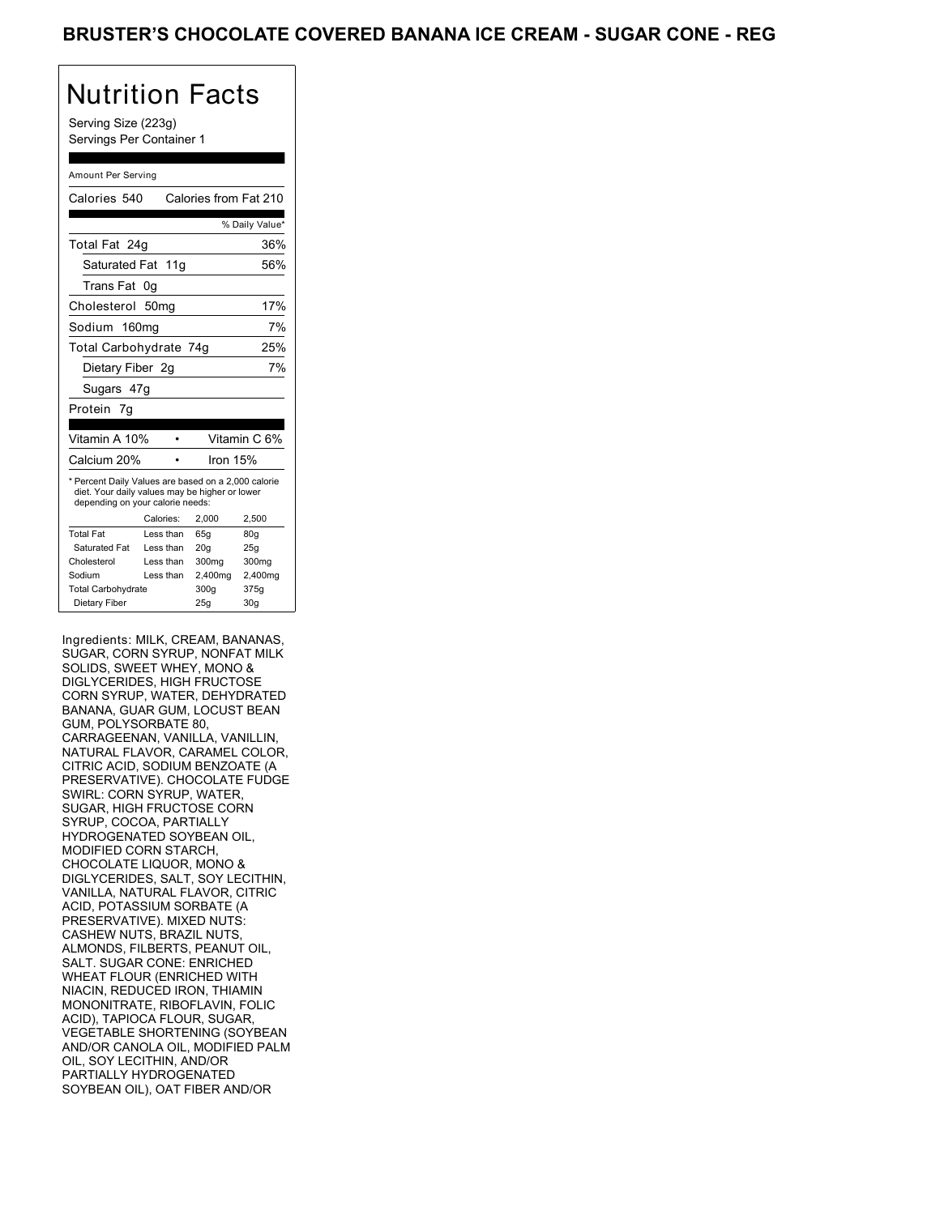Serving Size (223g) Servings Per Container 1

#### Amount Per Serving

| Calories 540                                                                                                                              |           | Calories from Fat 210 |                 |  |
|-------------------------------------------------------------------------------------------------------------------------------------------|-----------|-----------------------|-----------------|--|
|                                                                                                                                           |           |                       | % Daily Value*  |  |
| Total Fat 24g                                                                                                                             |           |                       | 36%             |  |
| Saturated Fat 11g                                                                                                                         |           |                       | 56%             |  |
| Trans Fat                                                                                                                                 | 0g        |                       |                 |  |
| Cholesterol 50mg                                                                                                                          |           |                       | 17%             |  |
| Sodium 160mg                                                                                                                              |           |                       | 7%              |  |
| Total Carbohydrate 74g                                                                                                                    |           |                       | 25%             |  |
| Dietary Fiber 2q                                                                                                                          |           |                       | 7%              |  |
| Sugars 47g                                                                                                                                |           |                       |                 |  |
| Protein 7g                                                                                                                                |           |                       |                 |  |
|                                                                                                                                           |           |                       |                 |  |
| Vitamin A 10%                                                                                                                             |           |                       | Vitamin C 6%    |  |
| Calcium 20%                                                                                                                               |           | Iron $15%$            |                 |  |
| * Percent Daily Values are based on a 2,000 calorie<br>diet. Your daily values may be higher or lower<br>depending on your calorie needs: |           |                       |                 |  |
|                                                                                                                                           | Calories: | 2.000                 | 2,500           |  |
| <b>Total Fat</b>                                                                                                                          | Less than | 65q                   | 80q             |  |
| Saturated Fat                                                                                                                             | Less than | 20q                   | 25q             |  |
| Cholesterol                                                                                                                               | Less than | 300mg                 | 300mg           |  |
| Sodium                                                                                                                                    | Less than | 2,400mg               | 2,400mg         |  |
| <b>Total Carbohydrate</b>                                                                                                                 |           | 300q                  | 375g            |  |
| Dietary Fiber                                                                                                                             |           | 25q                   | 30 <sub>g</sub> |  |

Ingredients: MILK, CREAM, BANANAS, SUGAR, CORN SYRUP, NONFAT MILK SOLIDS, SWEET WHEY, MONO & DIGLYCERIDES, HIGH FRUCTOSE CORN SYRUP, WATER, DEHYDRATED BANANA, GUAR GUM, LOCUST BEAN GUM, POLYSORBATE 80, CARRAGEENAN, VANILLA, VANILLIN, NATURAL FLAVOR, CARAMEL COLOR, CITRIC ACID, SODIUM BENZOATE (A PRESERVATIVE). CHOCOLATE FUDGE SWIRL: CORN SYRUP, WATER, SUGAR, HIGH FRUCTOSE CORN SYRUP, COCOA, PARTIALLY HYDROGENATED SOYBEAN OIL, MODIFIED CORN STARCH, CHOCOLATE LIQUOR, MONO & DIGLYCERIDES, SALT, SOY LECITHIN, VANILLA, NATURAL FLAVOR, CITRIC ACID, POTASSIUM SORBATE (A PRESERVATIVE). MIXED NUTS: CASHEW NUTS, BRAZIL NUTS, ALMONDS, FILBERTS, PEANUT OIL, SALT. SUGAR CONE: ENRICHED WHEAT FLOUR (ENRICHED WITH NIACIN, REDUCED IRON, THIAMIN MONONITRATE, RIBOFLAVIN, FOLIC ACID), TAPIOCA FLOUR, SUGAR, VEGETABLE SHORTENING (SOYBEAN AND/OR CANOLA OIL, MODIFIED PALM OIL, SOY LECITHIN, AND/OR PARTIALLY HYDROGENATED SOYBEAN OIL), OAT FIBER AND/OR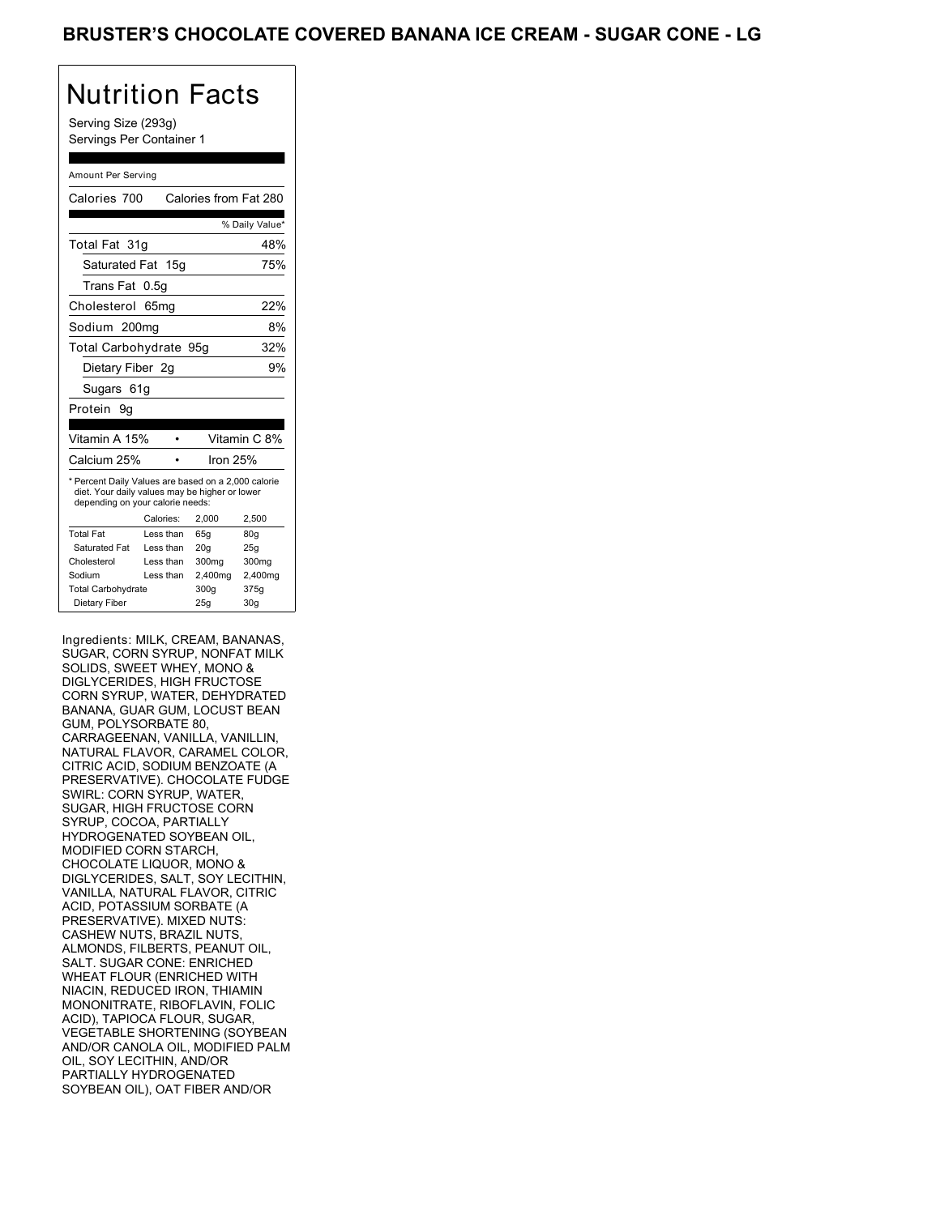Serving Size (293g) Servings Per Container 1

#### Amount Per Serving

| Calories 700                                                                                                                              |           | Calories from Fat 280 |                 |  |
|-------------------------------------------------------------------------------------------------------------------------------------------|-----------|-----------------------|-----------------|--|
|                                                                                                                                           |           |                       | % Daily Value*  |  |
| Total Fat 31g                                                                                                                             |           |                       | 48%             |  |
| Saturated Fat 15g                                                                                                                         |           |                       | 75%             |  |
| Trans Fat 0.5q                                                                                                                            |           |                       |                 |  |
| Cholesterol 65mg                                                                                                                          |           |                       | 22%             |  |
| Sodium 200mg                                                                                                                              |           |                       | 8%              |  |
| Total Carbohydrate 95g                                                                                                                    |           |                       | 32%             |  |
| Dietary Fiber 2g                                                                                                                          |           |                       | 9%              |  |
| Sugars 61g                                                                                                                                |           |                       |                 |  |
| Protein 9g                                                                                                                                |           |                       |                 |  |
|                                                                                                                                           |           |                       |                 |  |
| Vitamin A 15%                                                                                                                             |           |                       | Vitamin C 8%    |  |
| Calcium 25%                                                                                                                               |           | Iron 25%              |                 |  |
| * Percent Daily Values are based on a 2,000 calorie<br>diet. Your daily values may be higher or lower<br>depending on your calorie needs: |           |                       |                 |  |
|                                                                                                                                           | Calories: | 2.000                 | 2.500           |  |
| <b>Total Fat</b>                                                                                                                          | Less than | 65q                   | 80q             |  |
| Saturated Fat                                                                                                                             | Less than | 20 <sub>g</sub>       | 25g             |  |
| Cholesterol                                                                                                                               | Less than | 300mg                 | 300mg           |  |
| Sodium                                                                                                                                    | Less than | 2,400mg               | 2,400mg         |  |
| <b>Total Carbohydrate</b>                                                                                                                 |           | 300q                  | 375g            |  |
| Dietary Fiber                                                                                                                             |           | 25q                   | 30 <sub>g</sub> |  |

Ingredients: MILK, CREAM, BANANAS, SUGAR, CORN SYRUP, NONFAT MILK SOLIDS, SWEET WHEY, MONO & DIGLYCERIDES, HIGH FRUCTOSE CORN SYRUP, WATER, DEHYDRATED BANANA, GUAR GUM, LOCUST BEAN GUM, POLYSORBATE 80, CARRAGEENAN, VANILLA, VANILLIN, NATURAL FLAVOR, CARAMEL COLOR, CITRIC ACID, SODIUM BENZOATE (A PRESERVATIVE). CHOCOLATE FUDGE SWIRL: CORN SYRUP, WATER, SUGAR, HIGH FRUCTOSE CORN SYRUP, COCOA, PARTIALLY HYDROGENATED SOYBEAN OIL, MODIFIED CORN STARCH, CHOCOLATE LIQUOR, MONO & DIGLYCERIDES, SALT, SOY LECITHIN, VANILLA, NATURAL FLAVOR, CITRIC ACID, POTASSIUM SORBATE (A PRESERVATIVE). MIXED NUTS: CASHEW NUTS, BRAZIL NUTS, ALMONDS, FILBERTS, PEANUT OIL, SALT. SUGAR CONE: ENRICHED WHEAT FLOUR (ENRICHED WITH NIACIN, REDUCED IRON, THIAMIN MONONITRATE, RIBOFLAVIN, FOLIC ACID), TAPIOCA FLOUR, SUGAR, VEGETABLE SHORTENING (SOYBEAN AND/OR CANOLA OIL, MODIFIED PALM OIL, SOY LECITHIN, AND/OR PARTIALLY HYDROGENATED SOYBEAN OIL), OAT FIBER AND/OR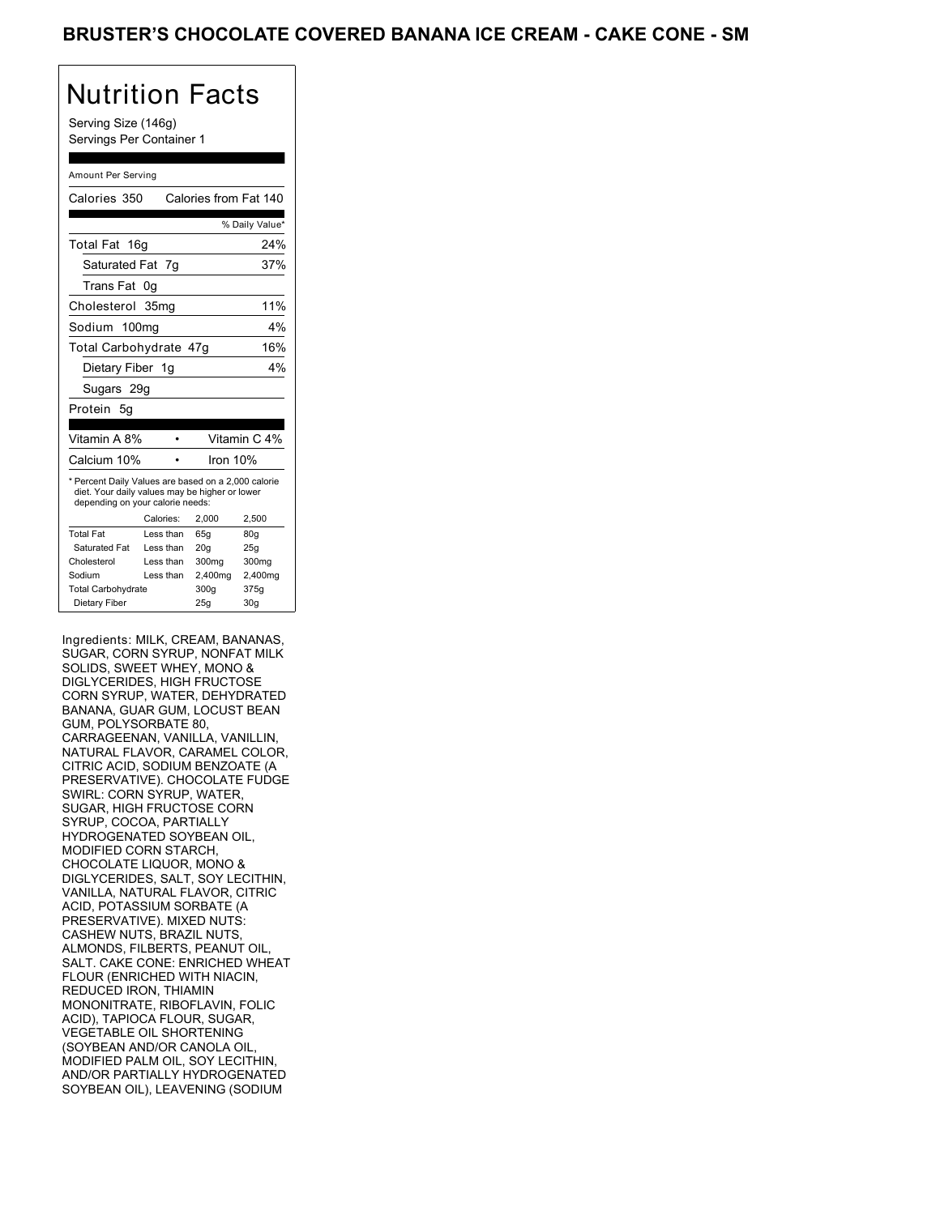Serving Size (146g) Servings Per Container 1

#### Amount Per Serving

| Calories 350                                                                                                                              |           |          | Calories from Fat 140 |
|-------------------------------------------------------------------------------------------------------------------------------------------|-----------|----------|-----------------------|
|                                                                                                                                           |           |          | % Daily Value*        |
| Total Fat<br>16g                                                                                                                          |           |          | 24%                   |
| Saturated Fat 7q                                                                                                                          |           |          | 37%                   |
| Trans Fat                                                                                                                                 | 0g        |          |                       |
| Cholesterol 35mg                                                                                                                          |           |          | 11%                   |
| Sodium 100mg                                                                                                                              |           |          | $4\%$                 |
| Total Carbohydrate 47g                                                                                                                    |           |          | 16%                   |
| Dietary Fiber 1g                                                                                                                          |           |          | 4%                    |
| Sugars 29g                                                                                                                                |           |          |                       |
| Protein 5q                                                                                                                                |           |          |                       |
|                                                                                                                                           |           |          |                       |
| Vitamin A 8%                                                                                                                              |           |          | Vitamin C 4%          |
| Calcium 10%                                                                                                                               |           | Iron 10% |                       |
| * Percent Daily Values are based on a 2,000 calorie<br>diet. Your daily values may be higher or lower<br>depending on your calorie needs: |           |          |                       |
|                                                                                                                                           | Calories: | 2.000    | 2,500                 |
| <b>Total Fat</b>                                                                                                                          | Less than | 65q      | 80q                   |
| Saturated Fat                                                                                                                             | Less than | 20q      | 25q                   |
| Cholesterol                                                                                                                               | Less than | 300mg    | 300mg                 |
| Sodium                                                                                                                                    | Less than | 2,400mg  | 2,400mg               |
| <b>Total Carbohydrate</b>                                                                                                                 |           | 300g     | 375g                  |
| Dietary Fiber                                                                                                                             |           | 25q      | 30q                   |

Ingredients: MILK, CREAM, BANANAS, SUGAR, CORN SYRUP, NONFAT MILK SOLIDS, SWEET WHEY, MONO & DIGLYCERIDES, HIGH FRUCTOSE CORN SYRUP, WATER, DEHYDRATED BANANA, GUAR GUM, LOCUST BEAN GUM, POLYSORBATE 80, CARRAGEENAN, VANILLA, VANILLIN, NATURAL FLAVOR, CARAMEL COLOR, CITRIC ACID, SODIUM BENZOATE (A PRESERVATIVE). CHOCOLATE FUDGE SWIRL: CORN SYRUP, WATER, SUGAR, HIGH FRUCTOSE CORN SYRUP, COCOA, PARTIALLY HYDROGENATED SOYBEAN OIL, MODIFIED CORN STARCH, CHOCOLATE LIQUOR, MONO & DIGLYCERIDES, SALT, SOY LECITHIN, VANILLA, NATURAL FLAVOR, CITRIC ACID, POTASSIUM SORBATE (A PRESERVATIVE). MIXED NUTS: CASHEW NUTS, BRAZIL NUTS, ALMONDS, FILBERTS, PEANUT OIL, SALT. CAKE CONE: ENRICHED WHEAT FLOUR (ENRICHED WITH NIACIN, REDUCED IRON, THIAMIN MONONITRATE, RIBOFLAVIN, FOLIC ACID), TAPIOCA FLOUR, SUGAR, VEGETABLE OIL SHORTENING (SOYBEAN AND/OR CANOLA OIL, MODIFIED PALM OIL, SOY LECITHIN, AND/OR PARTIALLY HYDROGENATED SOYBEAN OIL), LEAVENING (SODIUM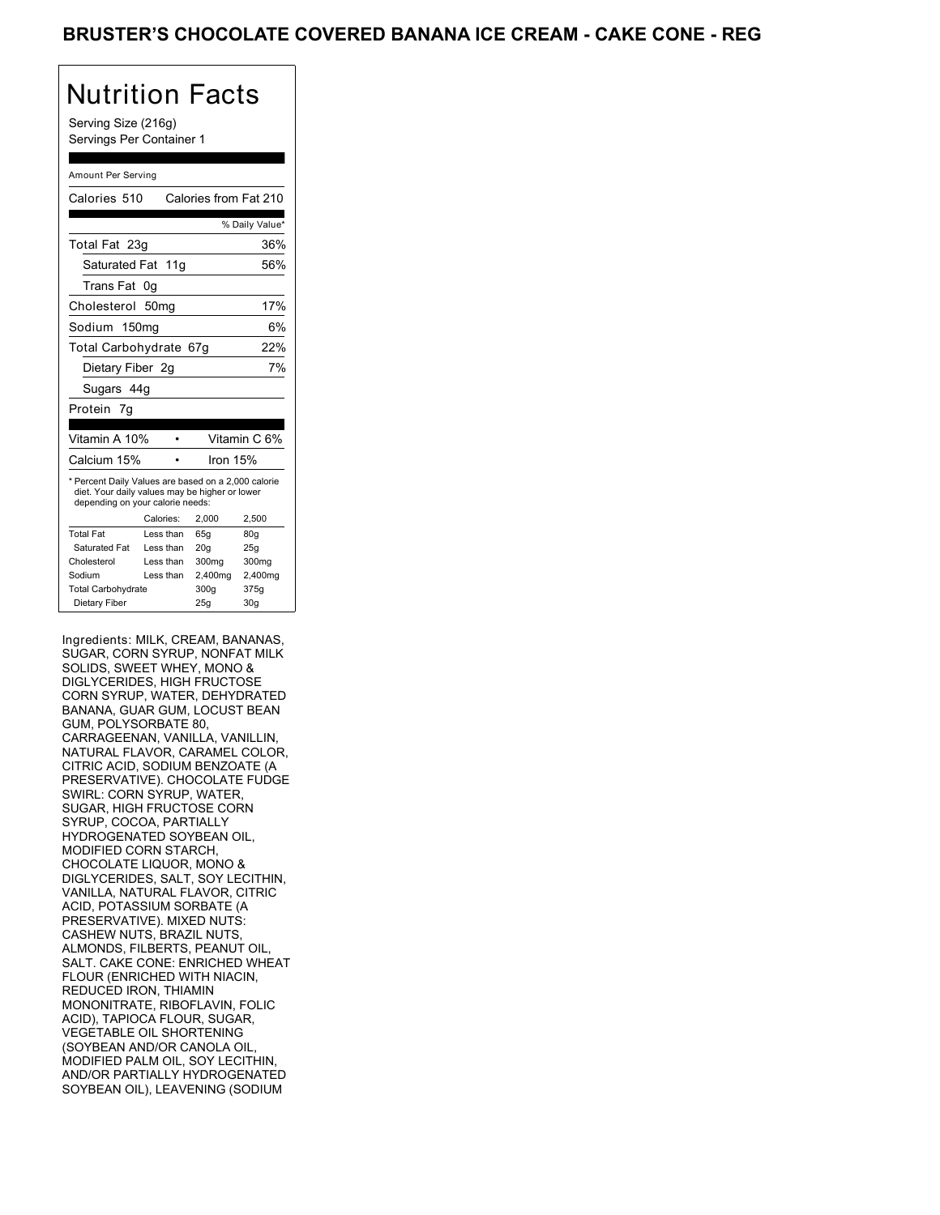Serving Size (216g) Servings Per Container 1

#### Amount Per Serving

| Calories 510                                                                                                                              |           | Calories from Fat 210 |                 |
|-------------------------------------------------------------------------------------------------------------------------------------------|-----------|-----------------------|-----------------|
|                                                                                                                                           |           |                       |                 |
|                                                                                                                                           |           |                       | % Daily Value*  |
| Total Fat 23g                                                                                                                             |           |                       | 36%             |
| Saturated Fat 11g                                                                                                                         |           |                       | 56%             |
| Trans Fat                                                                                                                                 | 0g        |                       |                 |
| Cholesterol 50mg                                                                                                                          |           |                       | 17%             |
| Sodium 150mg                                                                                                                              |           |                       | 6%              |
| Total Carbohydrate 67g                                                                                                                    |           |                       | 22%             |
| Dietary Fiber 2q                                                                                                                          |           |                       | 7%              |
| Sugars 44g                                                                                                                                |           |                       |                 |
| Protein 7q                                                                                                                                |           |                       |                 |
|                                                                                                                                           |           |                       |                 |
| Vitamin A 10%                                                                                                                             |           |                       | Vitamin C 6%    |
| Calcium 15%                                                                                                                               |           | Iron $15%$            |                 |
| * Percent Daily Values are based on a 2,000 calorie<br>diet. Your daily values may be higher or lower<br>depending on your calorie needs: |           |                       |                 |
|                                                                                                                                           | Calories: | 2.000                 | 2.500           |
| <b>Total Fat</b>                                                                                                                          | Less than | 65q                   | 80q             |
| Saturated Fat                                                                                                                             | Less than | 20q                   | 25q             |
| Cholesterol                                                                                                                               | Less than | 300mg                 | 300mg           |
| Sodium                                                                                                                                    | Less than | 2,400mg               | 2,400mg         |
| <b>Total Carbohydrate</b>                                                                                                                 |           | 300g                  | 375g            |
| Dietary Fiber                                                                                                                             |           | 25q                   | 30 <sub>g</sub> |

Ingredients: MILK, CREAM, BANANAS, SUGAR, CORN SYRUP, NONFAT MILK SOLIDS, SWEET WHEY, MONO & DIGLYCERIDES, HIGH FRUCTOSE CORN SYRUP, WATER, DEHYDRATED BANANA, GUAR GUM, LOCUST BEAN GUM, POLYSORBATE 80, CARRAGEENAN, VANILLA, VANILLIN, NATURAL FLAVOR, CARAMEL COLOR, CITRIC ACID, SODIUM BENZOATE (A PRESERVATIVE). CHOCOLATE FUDGE SWIRL: CORN SYRUP, WATER, SUGAR, HIGH FRUCTOSE CORN SYRUP, COCOA, PARTIALLY HYDROGENATED SOYBEAN OIL, MODIFIED CORN STARCH, CHOCOLATE LIQUOR, MONO & DIGLYCERIDES, SALT, SOY LECITHIN, VANILLA, NATURAL FLAVOR, CITRIC ACID, POTASSIUM SORBATE (A PRESERVATIVE). MIXED NUTS: CASHEW NUTS, BRAZIL NUTS, ALMONDS, FILBERTS, PEANUT OIL, SALT. CAKE CONE: ENRICHED WHEAT FLOUR (ENRICHED WITH NIACIN, REDUCED IRON, THIAMIN MONONITRATE, RIBOFLAVIN, FOLIC ACID), TAPIOCA FLOUR, SUGAR, VEGETABLE OIL SHORTENING (SOYBEAN AND/OR CANOLA OIL, MODIFIED PALM OIL, SOY LECITHIN, AND/OR PARTIALLY HYDROGENATED SOYBEAN OIL), LEAVENING (SODIUM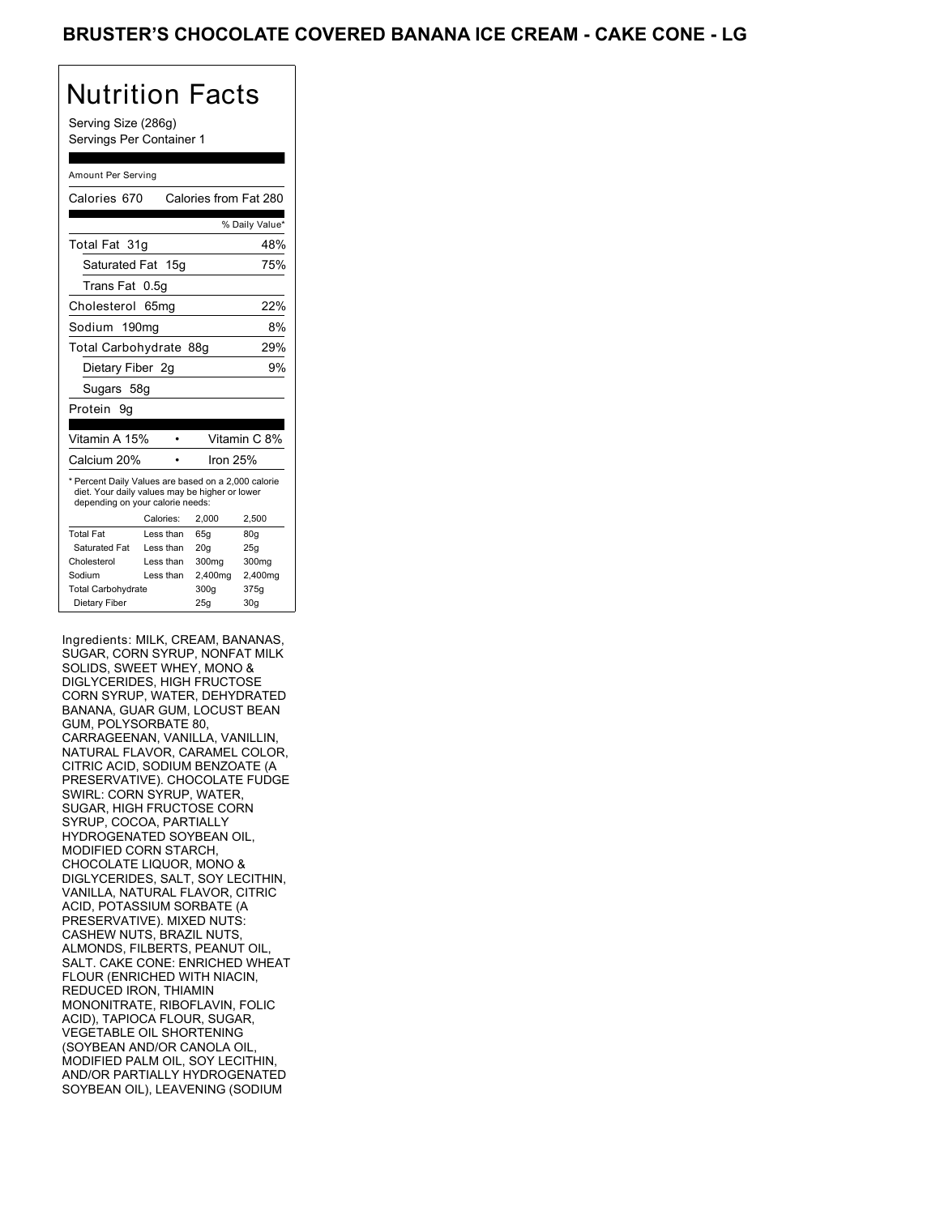Serving Size (286g) Servings Per Container 1

#### Amount Per Serving

| Calories 670                                                                                                                              |           | Calories from Fat 280 |                 |  |
|-------------------------------------------------------------------------------------------------------------------------------------------|-----------|-----------------------|-----------------|--|
|                                                                                                                                           |           |                       | % Daily Value*  |  |
| Total Fat 31q                                                                                                                             |           |                       | 48%             |  |
| Saturated Fat 15g                                                                                                                         |           |                       | 75%             |  |
| Trans Fat                                                                                                                                 | 0.5q      |                       |                 |  |
| Cholesterol 65mg                                                                                                                          |           |                       | 22%             |  |
| Sodium 190mg                                                                                                                              |           |                       | 8%              |  |
| Total Carbohydrate 88g                                                                                                                    |           |                       | 29%             |  |
| Dietary Fiber 2g                                                                                                                          |           |                       | 9%              |  |
| Sugars 58g                                                                                                                                |           |                       |                 |  |
| Protein 9q                                                                                                                                |           |                       |                 |  |
|                                                                                                                                           |           |                       |                 |  |
| Vitamin A 15%                                                                                                                             |           |                       | Vitamin C 8%    |  |
| Calcium 20%                                                                                                                               |           | Iron $25%$            |                 |  |
| * Percent Daily Values are based on a 2,000 calorie<br>diet. Your daily values may be higher or lower<br>depending on your calorie needs: |           |                       |                 |  |
|                                                                                                                                           | Calories: | 2,000                 | 2,500           |  |
| <b>Total Fat</b>                                                                                                                          | Less than | 65q                   | 80q             |  |
| Saturated Fat                                                                                                                             | Less than | 20 <sub>g</sub>       | 25g             |  |
| Cholesterol                                                                                                                               | Less than | 300mg                 | 300mg           |  |
| Sodium                                                                                                                                    | Less than | 2,400mg               | 2,400mg         |  |
| <b>Total Carbohydrate</b>                                                                                                                 |           | 300q                  | 375g            |  |
| Dietary Fiber                                                                                                                             |           | 25q                   | 30 <sub>g</sub> |  |

Ingredients: MILK, CREAM, BANANAS, SUGAR, CORN SYRUP, NONFAT MILK SOLIDS, SWEET WHEY, MONO & DIGLYCERIDES, HIGH FRUCTOSE CORN SYRUP, WATER, DEHYDRATED BANANA, GUAR GUM, LOCUST BEAN GUM, POLYSORBATE 80, CARRAGEENAN, VANILLA, VANILLIN, NATURAL FLAVOR, CARAMEL COLOR, CITRIC ACID, SODIUM BENZOATE (A PRESERVATIVE). CHOCOLATE FUDGE SWIRL: CORN SYRUP, WATER, SUGAR, HIGH FRUCTOSE CORN SYRUP, COCOA, PARTIALLY HYDROGENATED SOYBEAN OIL, MODIFIED CORN STARCH, CHOCOLATE LIQUOR, MONO & DIGLYCERIDES, SALT, SOY LECITHIN, VANILLA, NATURAL FLAVOR, CITRIC ACID, POTASSIUM SORBATE (A PRESERVATIVE). MIXED NUTS: CASHEW NUTS, BRAZIL NUTS, ALMONDS, FILBERTS, PEANUT OIL, SALT. CAKE CONE: ENRICHED WHEAT FLOUR (ENRICHED WITH NIACIN, REDUCED IRON, THIAMIN MONONITRATE, RIBOFLAVIN, FOLIC ACID), TAPIOCA FLOUR, SUGAR, VEGETABLE OIL SHORTENING (SOYBEAN AND/OR CANOLA OIL, MODIFIED PALM OIL, SOY LECITHIN, AND/OR PARTIALLY HYDROGENATED SOYBEAN OIL), LEAVENING (SODIUM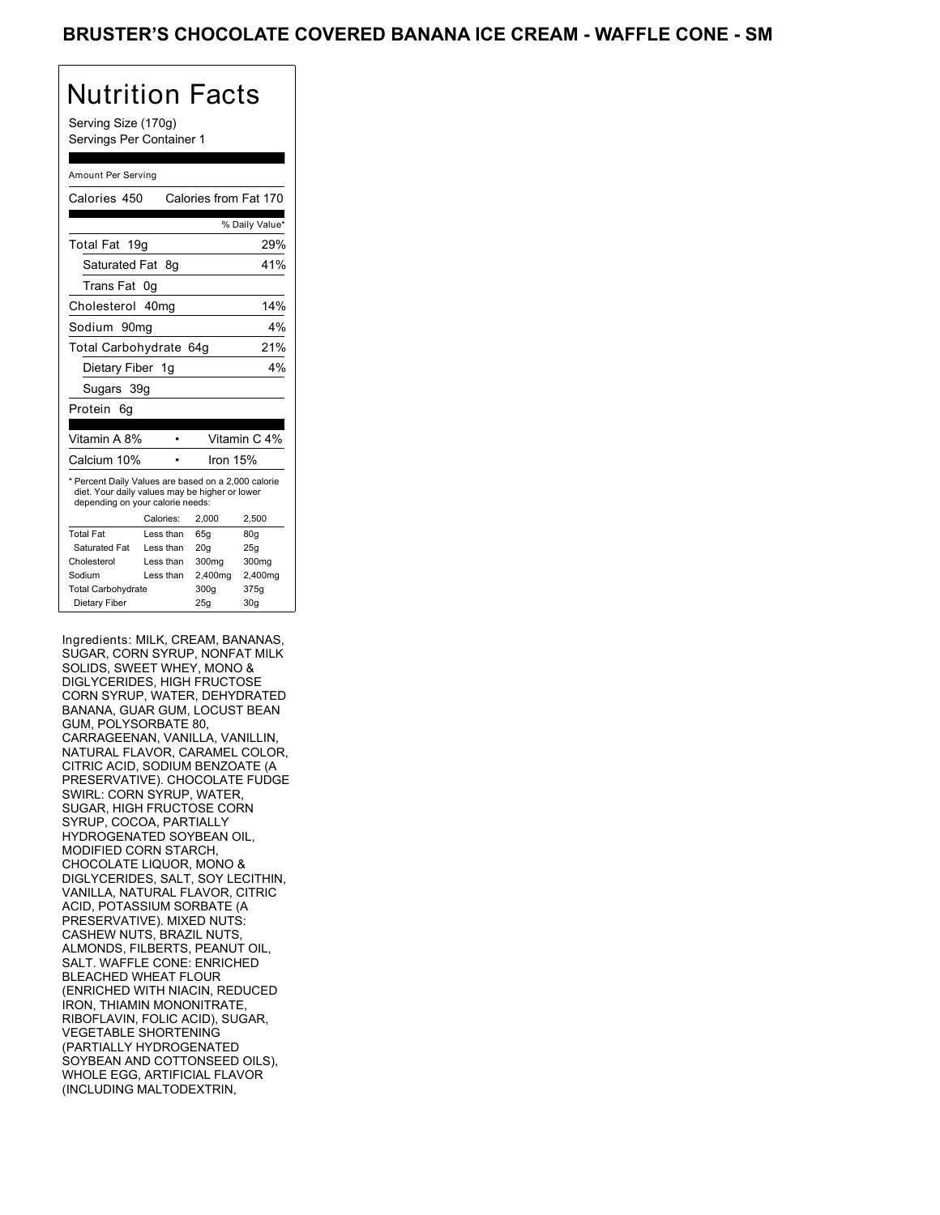Serving Size (170g) Servings Per Container 1

#### Amount Per Serving

| Calories 450                                                                                                                              |           | Calories from Fat 170 |                 |
|-------------------------------------------------------------------------------------------------------------------------------------------|-----------|-----------------------|-----------------|
|                                                                                                                                           |           |                       | % Daily Value*  |
| Total Fat<br>19a                                                                                                                          |           |                       | 29%             |
| Saturated Fat 8q                                                                                                                          |           |                       | 41%             |
| Trans Fat                                                                                                                                 | 0g        |                       |                 |
| Cholesterol 40mg                                                                                                                          |           |                       | 14%             |
| Sodium 90mq                                                                                                                               |           |                       | 4%              |
| Total Carbohydrate 64g                                                                                                                    |           |                       | 21%             |
| Dietary Fiber 1g                                                                                                                          |           |                       | 4%              |
| Sugars 39g                                                                                                                                |           |                       |                 |
| Protein<br>6g                                                                                                                             |           |                       |                 |
|                                                                                                                                           |           |                       |                 |
| Vitamin A 8%                                                                                                                              |           |                       | Vitamin C 4%    |
| Calcium 10%                                                                                                                               |           | Iron $15%$            |                 |
| * Percent Daily Values are based on a 2,000 calorie<br>diet. Your daily values may be higher or lower<br>depending on your calorie needs: |           |                       |                 |
|                                                                                                                                           | Calories: | 2.000                 | 2,500           |
| <b>Total Fat</b>                                                                                                                          | Less than | 65q                   | 80q             |
| Saturated Fat                                                                                                                             | Less than | 20q                   | 25q             |
| Cholesterol                                                                                                                               | Less than | 300mg                 | 300mg           |
| Sodium                                                                                                                                    | Less than | 2,400mg               | 2,400mg         |
| <b>Total Carbohydrate</b>                                                                                                                 |           | 300g                  | 375g            |
| Dietary Fiber                                                                                                                             |           | 25q                   | 30 <sub>g</sub> |

Ingredients: MILK, CREAM, BANANAS, SUGAR, CORN SYRUP, NONFAT MILK SOLIDS, SWEET WHEY, MONO & DIGLYCERIDES, HIGH FRUCTOSE CORN SYRUP, WATER, DEHYDRATED BANANA, GUAR GUM, LOCUST BEAN GUM, POLYSORBATE 80, CARRAGEENAN, VANILLA, VANILLIN, NATURAL FLAVOR, CARAMEL COLOR, CITRIC ACID, SODIUM BENZOATE (A PRESERVATIVE). CHOCOLATE FUDGE SWIRL: CORN SYRUP, WATER, SUGAR, HIGH FRUCTOSE CORN SYRUP, COCOA, PARTIALLY HYDROGENATED SOYBEAN OIL, MODIFIED CORN STARCH, CHOCOLATE LIQUOR, MONO & DIGLYCERIDES, SALT, SOY LECITHIN, VANILLA, NATURAL FLAVOR, CITRIC ACID, POTASSIUM SORBATE (A PRESERVATIVE). MIXED NUTS: CASHEW NUTS, BRAZIL NUTS, ALMONDS, FILBERTS, PEANUT OIL, SALT. WAFFLE CONE: ENRICHED BLEACHED WHEAT FLOUR (ENRICHED WITH NIACIN, REDUCED IRON, THIAMIN MONONITRATE, RIBOFLAVIN, FOLIC ACID), SUGAR, VEGETABLE SHORTENING (PARTIALLY HYDROGENATED SOYBEAN AND COTTONSEED OILS), WHOLE EGG, ARTIFICIAL FLAVOR (INCLUDING MALTODEXTRIN,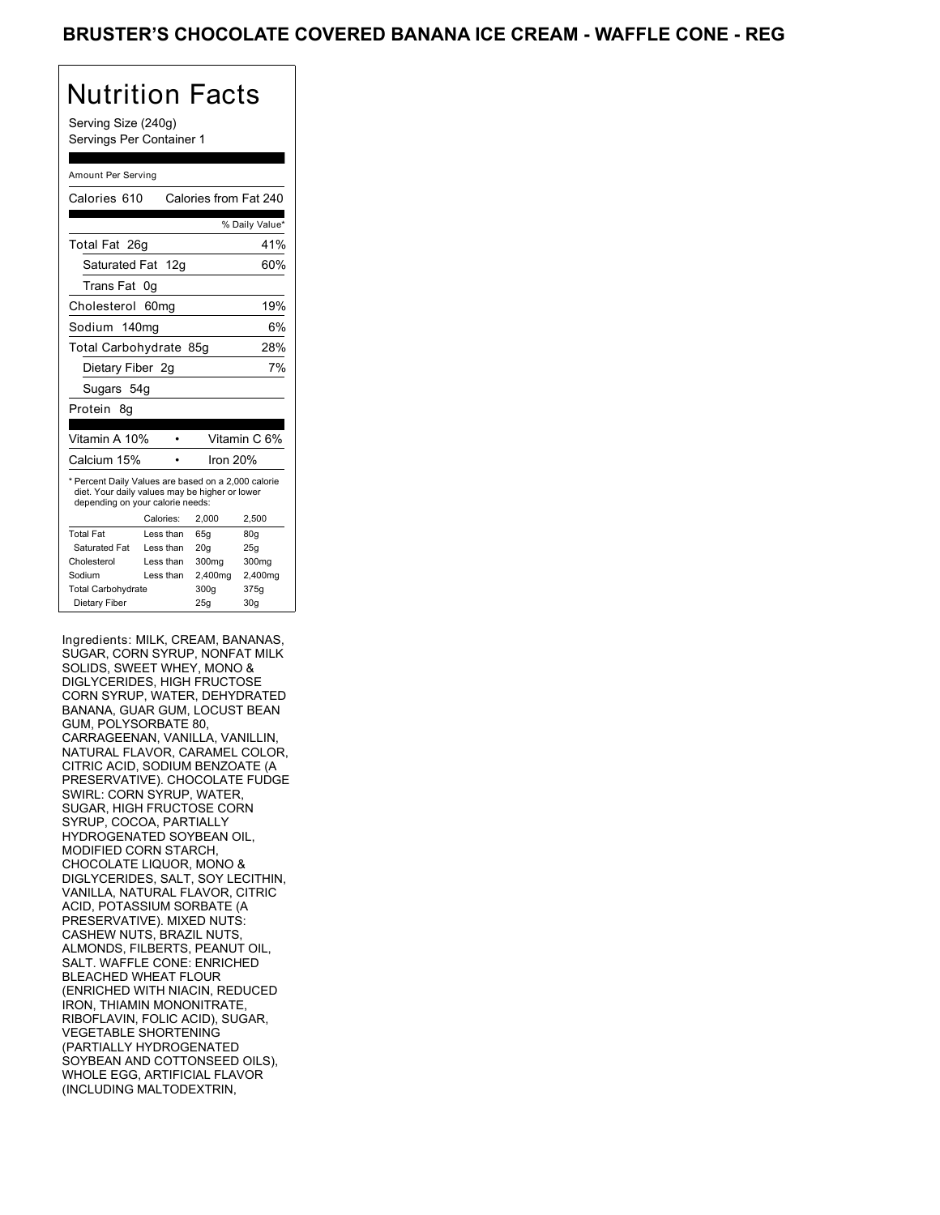Serving Size (240g) Servings Per Container 1

#### Amount Per Serving

| Calories 610                                                                                                                              |           | Calories from Fat 240 |                 |
|-------------------------------------------------------------------------------------------------------------------------------------------|-----------|-----------------------|-----------------|
|                                                                                                                                           |           |                       | % Daily Value*  |
| Total Fat 26q                                                                                                                             |           |                       | 41%             |
| Saturated Fat 12g                                                                                                                         |           |                       | 60%             |
| Trans Fat                                                                                                                                 | 0g        |                       |                 |
| Cholesterol 60mg                                                                                                                          |           |                       | 19%             |
| Sodium 140mg                                                                                                                              |           |                       | 6%              |
| Total Carbohydrate 85g                                                                                                                    |           |                       | 28%             |
| Dietary Fiber 2q                                                                                                                          |           |                       | 7%              |
| Sugars 54g                                                                                                                                |           |                       |                 |
| Protein<br>8q                                                                                                                             |           |                       |                 |
|                                                                                                                                           |           |                       |                 |
| Vitamin A 10%                                                                                                                             |           |                       | Vitamin C 6%    |
| Calcium 15%                                                                                                                               |           | Iron $20%$            |                 |
| * Percent Daily Values are based on a 2,000 calorie<br>diet. Your daily values may be higher or lower<br>depending on your calorie needs: |           |                       |                 |
|                                                                                                                                           | Calories: | 2.000                 | 2.500           |
| <b>Total Fat</b>                                                                                                                          | Less than | 65q                   | 80q             |
| <b>Saturated Fat</b>                                                                                                                      | Less than | 20q                   | 25q             |
| Cholesterol                                                                                                                               | Less than | 300 <sub>mq</sub>     | 300mg           |
| Sodium                                                                                                                                    | Less than | 2,400mg               | 2,400mg         |
| <b>Total Carbohydrate</b>                                                                                                                 |           | 300g                  | 375g            |
| Dietary Fiber                                                                                                                             |           | 25q                   | 30 <sub>g</sub> |

Ingredients: MILK, CREAM, BANANAS, SUGAR, CORN SYRUP, NONFAT MILK SOLIDS, SWEET WHEY, MONO & DIGLYCERIDES, HIGH FRUCTOSE CORN SYRUP, WATER, DEHYDRATED BANANA, GUAR GUM, LOCUST BEAN GUM, POLYSORBATE 80, CARRAGEENAN, VANILLA, VANILLIN, NATURAL FLAVOR, CARAMEL COLOR, CITRIC ACID, SODIUM BENZOATE (A PRESERVATIVE). CHOCOLATE FUDGE SWIRL: CORN SYRUP, WATER, SUGAR, HIGH FRUCTOSE CORN SYRUP, COCOA, PARTIALLY HYDROGENATED SOYBEAN OIL, MODIFIED CORN STARCH, CHOCOLATE LIQUOR, MONO & DIGLYCERIDES, SALT, SOY LECITHIN, VANILLA, NATURAL FLAVOR, CITRIC ACID, POTASSIUM SORBATE (A PRESERVATIVE). MIXED NUTS: CASHEW NUTS, BRAZIL NUTS, ALMONDS, FILBERTS, PEANUT OIL, SALT. WAFFLE CONE: ENRICHED BLEACHED WHEAT FLOUR (ENRICHED WITH NIACIN, REDUCED IRON, THIAMIN MONONITRATE, RIBOFLAVIN, FOLIC ACID), SUGAR, VEGETABLE SHORTENING (PARTIALLY HYDROGENATED SOYBEAN AND COTTONSEED OILS), WHOLE EGG, ARTIFICIAL FLAVOR (INCLUDING MALTODEXTRIN,